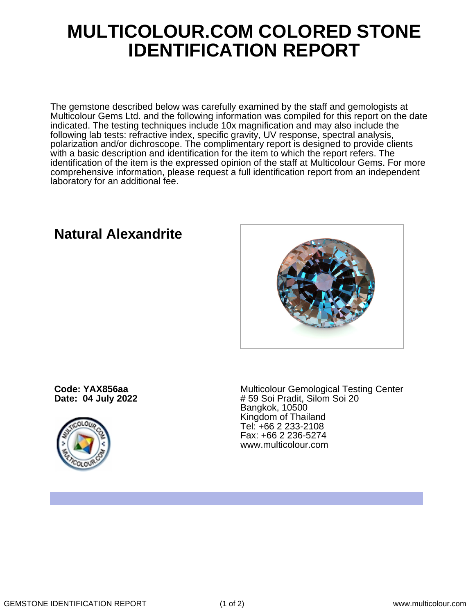## **MULTICOLOUR.COM COLORED STONE IDENTIFICATION REPORT**

The gemstone described below was carefully examined by the staff and gemologists at Multicolour Gems Ltd. and the following information was compiled for this report on the date indicated. The testing techniques include 10x magnification and may also include the following lab tests: refractive index, specific gravity, UV response, spectral analysis, polarization and/or dichroscope. The complimentary report is designed to provide clients with a basic description and identification for the item to which the report refers. The identification of the item is the expressed opinion of the staff at Multicolour Gems. For more comprehensive information, please request a full identification report from an independent laboratory for an additional fee.

**Natural Alexandrite**

**Code: YAX856aa Date: 04 July 2022**



Multicolour Gemological Testing Center # 59 Soi Pradit, Silom Soi 20 Bangkok, 10500 Kingdom of Thailand Tel: +66 2 233-2108 Fax: +66 2 236-5274 www.multicolour.com